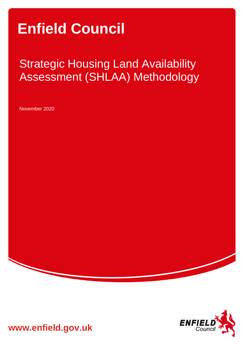# **Enfield Council**

## Strategic Housing Land Availability Assessment (SHLAA) Methodology

November 2020



**www.enfield.gov.uk**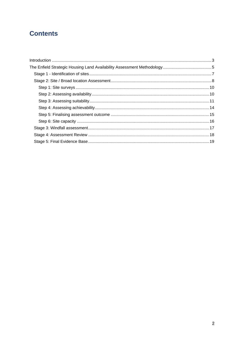## **Contents**

<span id="page-1-0"></span>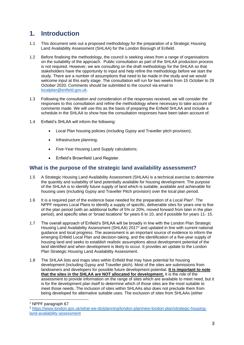### **1. Introduction**

- 1.1 This document sets out a proposed methodology for the preparation of a Strategic Housing Land Availability Assessment (SHLAA) for the London Borough of Enfield.
- 1.2 Before finalising the methodology, the council is seeking views from a range of organisations on the suitability of the approach. Public consultation as part of the SHLAA production process is not required. However, we are consulting on the draft methodology for the SHLAA so that stakeholders have the opportunity to input and help refine the methodology before we start the study. There are a number of assumptions that need to be made in the study and we would welcome input at this early stage. The consultation will run for two weeks from 15 October to 29 October 2020. Comments should be submitted to the council via email to [localplan@enfield.gov.uk.](mailto:localplan@enfield.gov.uk)
- 1.3 Following the consultation and consideration of the responses received, we will consider the responses to this consultation and refine the methodology where necessary to take account of comments made. We will use this as the basis of preparing the Enfield SHLAA and include a schedule in the SHLAA to show how the consultation responses have been taken account of.
- 1.4 Enfield's SHLAA will inform the following:
	- Local Plan housing policies (including Gypsy and Traveller pitch provision);
	- Infrastructure planning;
	- Five-Year Housing Land Supply calculations;
	- Enfield's Brownfield Land Register.

#### **What is the purpose of the strategic land availability assessment?**

- 1.5 A Strategic Housing Land Availability Assessment (SHLAA) is a technical exercise to determine the quantity and suitability of land potentially available for housing development. The purpose of the SHLAA is to identify future supply of land which is suitable, available and achievable for housing uses (including Gypsy and Traveller Pitch provision) over the local plan period.
- 1.6 It is a required part of the evidence base needed for the preparation of a Local Plan<sup>1</sup>. The NPPF requires Local Plans to identify a supply of specific, deliverable sites for years one to five of the plan period (with an additional buffer of 5% or 20%, moved forward from later in the plan period), and specific sites or 'broad locations' for years 6 to 10, and if possible for years 11- 15.
- 1.7 The overall approach of Enfield's SHLAA will be broadly in line with the London Plan Strategic Housing Land Availability Assessment (SHLAA) 2017<sup>2</sup> and updated in line with current national guidance and local progress. The assessment is an important source of evidence to inform the emerging Enfield Local Plan and decision-taking, and the identification of a five-year supply of housing land and seeks to establish realistic assumptions about development potential of the land identified and when development is likely to occur. It provides an update to the London Plan Strategic Housing Land Availability Assessment.
- 1.8 The SHLAA lists and maps sites within Enfield that may have potential for housing development (including Gypsy and Traveller pitch). Most of the sites are submissions from landowners and developers for possible future development potential. **It is important to note that the sites in the SHLAA are NOT allocated for development.** It is the role of the assessment to provide information on the range of sites which are available to meet need, but it is for the development plan itself to determine which of those sites are the most suitable to meet those needs. The inclusion of sites within SHLAAs also does not preclude them from being developed for alternative suitable uses. The exclusion of sites from SHLAAs (either

<sup>1</sup> NPPF paragraph 67

<sup>2</sup> [https://www.london.gov.uk/what-we-do/planning/london-plan/new-london-plan/strategic-housing](https://www.london.gov.uk/what-we-do/planning/london-plan/new-london-plan/strategic-housing-land-availability-assessment)[land-availability-assessment](https://www.london.gov.uk/what-we-do/planning/london-plan/new-london-plan/strategic-housing-land-availability-assessment)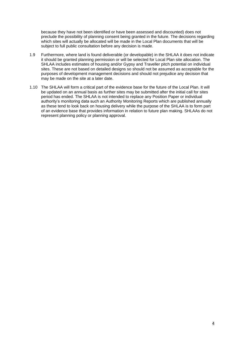because they have not been identified or have been assessed and discounted) does not preclude the possibility of planning consent being granted in the future. The decisions regarding which sites will actually be allocated will be made in the Local Plan documents that will be subject to full public consultation before any decision is made.

- 1.9 Furthermore, where land is found deliverable (or developable) in the SHLAA it does not indicate it should be granted planning permission or will be selected for Local Plan site allocation. The SHLAA includes estimates of housing and/or Gypsy and Traveller pitch potential on individual sites. These are not based on detailed designs so should not be assumed as acceptable for the purposes of development management decisions and should not prejudice any decision that may be made on the site at a later date.
- <span id="page-3-0"></span>1.10 The SHLAA will form a critical part of the evidence base for the future of the Local Plan. It will be updated on an annual basis as further sites may be submitted after the initial call for sites period has ended. The SHLAA is not intended to replace any Position Paper or individual authority's monitoring data such an Authority Monitoring Reports which are published annually as these tend to look back on housing delivery while the purpose of the SHLAA is to form part of an evidence base that provides information in relation to future plan making. SHLAAs do not represent planning policy or planning approval.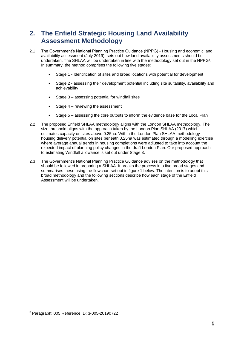## **2. The Enfield Strategic Housing Land Availability Assessment Methodology**

- 2.1 The Government's National Planning Practice Guidance (NPPG) Housing and economic land availability assessment (July 2019), sets out how land availability assessments should be undertaken. The SHLAA will be undertaken in line with the methodology set out in the NPPG<sup>3</sup>. In summary, the method comprises the following five stages:
	- Stage 1 Identification of sites and broad locations with potential for development
	- Stage 2 assessing their development potential including site suitability, availability and achievability
	- Stage 3 assessing potential for windfall sites
	- Stage 4 reviewing the assessment
	- Stage 5 assessing the core outputs to inform the evidence base for the Local Plan
- 2.2 The proposed Enfield SHLAA methodology aligns with the London SHLAA methodology. The size threshold aligns with the approach taken by the London Plan SHLAA (2017) which estimates capacity on sites above 0.25ha. Within the London Plan SHLAA methodology housing delivery potential on sites beneath 0.25ha was estimated through a modelling exercise where average annual trends in housing completions were adjusted to take into account the expected impact of planning policy changes in the draft London Plan. Our proposed approach to estimating Windfall allowance is set out under Stage 3.
- 2.3 The Government's National Planning Practice Guidance advises on the methodology that should be followed in preparing a SHLAA. It breaks the process into five broad stages and summarises these using the flowchart set out in figure 1 below. The intention is to adopt this broad methodology and the following sections describe how each stage of the Enfield Assessment will be undertaken.

<sup>3</sup> Paragraph: 005 Reference ID: 3-005-20190722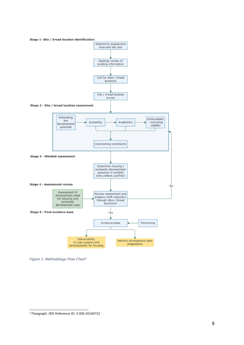

*Figure 1: Methodology Flow Chart<sup>4</sup>*

Paragraph: 005 Reference ID: 3-005-20190722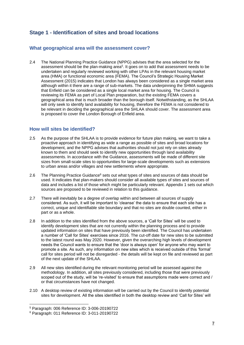#### <span id="page-6-0"></span>**Stage 1 - Identification of sites and broad locations**

#### **What geographical area will the assessment cover?**

2.4 The National Planning Practice Guidance (NPPG) advises that the area selected for the assessment should be the plan-making area<sup>5</sup>. It goes on to add that assessment needs to be undertaken and regularly reviewed working with other LPAs in the relevant housing market area (HMA) or functional economic area (FEMA). The Council's Strategic Housing Market Assessment (2015) indicates that London has always been considered as a single market area although within it there are a range of sub-markets. The data underpinning the SHMA suggests that Enfield can be considered as a single local market area for housing. The Council is reviewing its FEMA as part of Local Plan preparation, but the existing FEMA covers a geographical area that is much broader than the borough itself. Notwithstanding, as the SHLAA will only seek to identify land availability for housing, therefore the FEMA is not considered to be relevant in deciding the geographical area the SHLAA should cover. The assessment area is proposed to cover the London Borough of Enfield area.

#### **How will sites be identified?**

- 2.5 As the purpose of the SHLAA is to provide evidence for future plan making, we want to take a proactive approach in identifying as wide a range as possible of sites and broad locations for development, and the NPPG advises that authorities should not just rely on sites already known to them and should seek to identify new opportunities through land availability assessments. In accordance with the Guidance, assessments will be made of different site sizes from small-scale sites to opportunities for large-scale developments such as extensions to urban areas and/or villages and new settlements where appropriate.
- 2.6 The Planning Practice Guidance<sup>6</sup> sets out what types of sites and sources of data should be used. It indicates that plan-makers should consider all available types of sites and sources of data and includes a list of those which might be particularly relevant. Appendix 1 sets out which sources are proposed to be reviewed in relation to this guidance.
- 2.7 There will inevitably be a degree of overlap within and between all sources of supply considered. As such, it will be important to 'cleanse' the data to ensure that each site has a correct, unique and identifiable site boundary and that no sites are double counted, either in part or as a whole.
- 2.8 In addition to the sites identified from the above sources, a 'Call for Sites' will be used to identify development sites that are not currently within the planning process and to provide updated information on sites that have previously been identified. The Council has undertaken a number of 'Call for Sites' exercises since 2016. The cut-off date for new sites to be submitted to the latest round was May 2020. However, given the overarching high levels of development needs the Council wants to ensure that the 'door is always open' for anyone who may want to promote a site. As such, any information on new sites which is received outside of this 'formal' call for sites period will not be disregarded - the details will be kept on file and reviewed as part of the next update of the SHLAA.
- 2.9 All new sites identified during the relevant monitoring period will be assessed against the methodology. In addition, all sites previously considered, including those that were previously scoped out of the study, will be 're-visited' to ensure that assumptions made were correct and / or that circumstances have not changed.
- 2.10 A desktop review of existing information will be carried out by the Council to identify potential sites for development. All the sites identified in both the desktop review and 'Call for Sites' will

<sup>5</sup> Paragraph: 006 Reference ID: 3-006-20190722

<sup>6</sup> Paragraph: 011 Reference ID: 3-011-20190722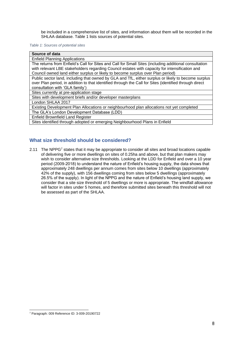be included in a comprehensive list of sites, and information about them will be recorded in the SHLAA database. Table 1 lists sources of potential sites.

#### *Table 1: Sources of potential sites*

| Source of data                                                                                         |
|--------------------------------------------------------------------------------------------------------|
| <b>Enfield Planning Applications</b>                                                                   |
| The returns from Enfield's Call for Sites and Call for Small Sites (including additional consultation  |
| with relevant LBE stakeholders regarding Council estates with capacity for intensification and         |
| Council owned land either surplus or likely to become surplus over Plan period)                        |
| Public sector land, including that owned by GLA and TfL, either surplus or likely to become surplus    |
| over Plan period, in addition to that identified through the Call for Sites (identified through direct |
| consultation with 'GLA family')                                                                        |
| Sites currently at pre-application stage                                                               |
| Sites with development briefs and/or developer masterplans                                             |
| London SHLAA 2017                                                                                      |
| Existing Development Plan Allocations or neighbourhood plan allocations not yet completed              |
| The GLA's London Development Database (LDD)                                                            |
| <b>Enfield Brownfield Land Register</b>                                                                |
| Sites identified through adopted or emerging Neighbourhood Plans in Enfield                            |

#### <span id="page-7-0"></span>**What size threshold should be considered?**

2.11 The NPPG<sup>7</sup> states that it may be appropriate to consider all sites and broad locations capable of delivering five or more dwellings on sites of 0.25ha and above, but that plan makers may wish to consider alternative size thresholds. Looking at the LDD for Enfield and over a 10 year period (2009-2018) to understand the nature of Enfield's housing supply, the data shows that approximately 248 dwellings per annum comes from sites below 10 dwellings (approximately 42% of the supply), with 156 dwellings coming from sites below 5 dwellings (approximately 26.5% of the supply). In light of the NPPG and the nature of Enfield's housing land supply, we consider that a site size threshold of 5 dwellings or more is appropriate. The windfall allowance will factor in sites under 5 homes, and therefore submitted sites beneath this threshold will not be assessed as part of the SHLAA.

<sup>7</sup> Paragraph: 009 Reference ID: 3-009-20190722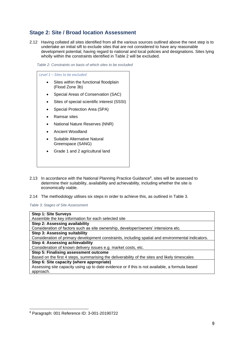#### **Stage 2: Site / Broad location Assessment**

2.12 Having collated all sites identified from all the various sources outlined above the next step is to undertake an initial sift to exclude sites that are not considered to have any reasonable development potential, having regard to national and local policies and designations. Sites lying wholly within the constraints identified in Table 2 will be excluded.

*Table 2: Constraints on basis of which sites to be excluded*

*Level 1 – Sites to be excluded*  Sites within the functional floodplain (Flood Zone 3b) • Special Areas of Conservation (SAC) Sites of special scientific interest (SSSI) • Special Protection Area (SPA) • Ramsar sites • National Nature Reserves (NNR) • Ancient Woodland Suitable Alternative Natural Greenspace (SANG) • Grade 1 and 2 agricultural land

- 2.13 In accordance with the National Planning Practice Guidance<sup>8</sup>, sites will be assessed to determine their suitability, availability and achievability, including whether the site is economically viable.
- 2.14 The methodology utilises six steps in order to achieve this, as outlined in Table 3.

*Table 3: Stages of Site Assessment*

| <b>Step 1: Site Surveys</b>                                                                       |
|---------------------------------------------------------------------------------------------------|
| Assemble the key information for each selected site                                               |
| Step 2: Assessing availability                                                                    |
| Consideration of factors such as site ownership, developer/owners' intensions etc.                |
| <b>Step 3: Assessing suitability</b>                                                              |
| Consideration of primary development constraints, including spatial and environmental indicators. |
| Step 4: Assessing achievability                                                                   |
| Consideration of known delivery issues e.g. market costs, etc.                                    |
| Step 5: Finalising assessment outcome                                                             |
| Based on the first 4 steps, summarising the deliverability of the sites and likely timescales     |
| Step 6: Site capacity (where appropriate)                                                         |
| Assessing site capacity using up to date evidence or if this is not available, a formula based    |
| approach.                                                                                         |

<span id="page-8-0"></span><sup>8</sup> Paragraph: 001 Reference ID: 3-001-20190722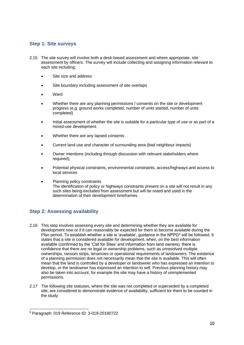#### **Step 1: Site surveys**

- 2.15 The site survey will involve both a desk-based assessment and where appropriate, site assessment by officers. The survey will include collecting and assigning information relevant to each site including:
	- Site size and address
	- Site boundary including assessment of site overlaps
	- **Ward**
	- Whether there are any planning permissions / consents on the site or development progress (e.g. ground works completed, number of units started, number of units completed)
	- Initial assessment of whether the site is suitable for a particular type of use or as part of a mixed-use development
	- Whether there are any lapsed consents
	- Current land use and character of surrounding area (bad neighbour impacts)
	- Owner intentions (including through discussion with relevant stakeholders where required);
	- Potential physical constraints, environmental constraints, access/highways and access to local services
	- Planning policy constraints The identification of policy or highways constraints present on a site will not result in any such sites being excluded from assessment but will be noted and used in the determination of their development timeframes.

#### <span id="page-9-0"></span>**Step 2: Assessing availability**

- 2.16 This step involves assessing every site and determining whether they are available for development now or if it can reasonably be expected for them to become available during the Plan period. To establish whether a site is 'available', guidance in the NPPG<sup>9</sup> will be followed. It states that a site is considered available for development, when, on the best information available (confirmed by the 'Call for Sites' and information from land owners), there is confidence that there are no legal or ownership problems, such as unresolved multiple ownerships, ransom strips, tenancies or operational requirements of landowners. The existence of a planning permission does not necessarily mean that the site is available. This will often mean that the land is controlled by a developer or landowner who has expressed an intention to develop, or the landowner has expressed an intention to sell. Previous planning history may also be taken into account, for example the site may have a history of unimplemented permissions.
- 2.17 The following site statuses, where the site was not completed or superseded by a completed site, are considered to demonstrate evidence of availability, sufficient for them to be counted in the study:

<sup>9</sup> Paragraph: 019 Reference ID: 3-019-20190722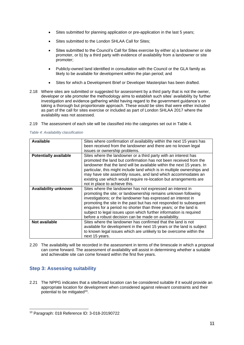- Sites submitted for planning application or pre-application in the last 5 years;
- Sites submitted to the London SHLAA Call for Sites;
- Sites submitted to the Council's Call for Sites exercise by either a) a landowner or site promoter, or b) by a third party with evidence of availability from a landowner or site promoter;
- Publicly-owned land identified in consultation with the Council or the GLA family as likely to be available for development within the plan period; and
- Sites for which a Development Brief or Developer Masterplan has been drafted.
- 2.18 Where sites are submitted or suggested for assessment by a third party that is not the owner, developer or site promoter the methodology aims to establish such sites' availability by further investigation and evidence gathering whilst having regard to the government guidance's on taking a thorough but proportionate approach. These would be sites that were either included as part of the call for sites exercise or included as part of London SHLAA 2017 where the availability was not assessed.
- 2.19 The assessment of each site will be classified into the categories set out in Table 4.

| Available                    | Sites where confirmation of availability within the next 15 years has<br>been received from the landowner and there are no known legal<br>issues or ownership problems.                                                                                                                                                                                                                                                                                                 |
|------------------------------|-------------------------------------------------------------------------------------------------------------------------------------------------------------------------------------------------------------------------------------------------------------------------------------------------------------------------------------------------------------------------------------------------------------------------------------------------------------------------|
| <b>Potentially available</b> | Sites where the landowner or a third party with an interest has<br>promoted the land but confirmation has not been received from the<br>landowner that the land will be available within the next 15 years. In<br>particular, this might include land which is in multiple ownerships and<br>may have site assembly issues, and land which accommodates an<br>existing use which would require re-location but arrangements are<br>not in place to achieve this.        |
| Availability unknown         | Sites where the landowner has not expressed an interest in<br>promoting the site; or landownership remains unknown following<br>investigations; or the landowner has expressed an interest in<br>promoting the site in the past but has not responded to subsequent<br>enquires for a period no shorter than three years; or the land is<br>subject to legal issues upon which further information is required<br>before a robust decision can be made on availability. |
| Not available                | Sites where the landowner has confirmed that the land is not<br>available for development in the next 15 years or the land is subject<br>to known legal issues which are unlikely to be overcome within the<br>next 15 years.                                                                                                                                                                                                                                           |

*Table 4: Availability classification*

<span id="page-10-0"></span>2.20 The availability will be recorded in the assessment in terms of the timescale in which a proposal can come forward. The assessment of availability will assist in determining whether a suitable and achievable site can come forward within the first five years.

#### **Step 3: Assessing suitability**

2.21 The NPPG indicates that a site/broad location can be considered suitable if it would provide an appropriate location for development when considered against relevant constraints and their potential to be mitigated<sup>10</sup>.

<sup>10</sup> Paragraph: 018 Reference ID: 3-018-20190722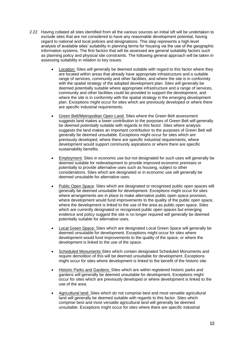- 2.22 Having collated all sites identified from all the various sources an initial sift will be undertaken to exclude sites that are not considered to have any reasonable development potential, having regard to national and local policies and designations. This step represents a high-level analysis of available sites' suitability in planning terms for housing via the use of the geographic information systems. The first factors that will be assessed are general suitability factors such as planning policy and physical site constraints. The following general approach will be taken in assessing suitability in relation to key issues:
	- Location: Sites will generally be deemed suitable with regard to this factor where they are located within areas that already have appropriate infrastructure and a suitable range of services, community and other facilities, and where the site is in conformity with the spatial strategy of the adopted development plan. Sites will generally be deemed potentially suitable where appropriate infrastructure and a range of services, community and other facilities could be provided to support the development, and where the site is in conformity with the spatial strategy in the emerging development plan. Exceptions might occur for sites which are previously developed or where there are specific industrial requirements.
	- Green Belt/Metropolitan Open Land: Sites where the Green Belt assessment suggests land makes a lower contribution to the purposes of Green Belt will generally be deemed *potentially* suitable with regards to this factor. Sites where analysis suggests the land makes an important contribution to the purposes of Green Belt will generally be deemed unsuitable. Exceptions might occur for sites which are previously developed, where there are specific industrial requirements, where development would support community aspirations or where there are specific sustainability benefits.
	- Employment: Sites in economic use but not designated for such uses will generally be deemed suitable for redevelopment to provide improved economic premises or potentially to provide alternative uses such as housing, subject to other considerations. Sites which are designated or in economic use will generally be deemed unsuitable for alternative uses.
	- Public Open Space: Sites which are designated or recognised public open spaces will generally be deemed unsuitable for development. Exceptions might occur for sites where arrangements are in place to make alternative public open space provision. where development would fund improvements to the quality of the public open space, where the development is linked to the use of the area as public open space. Sites which are currently designated or recognised public open spaces but emerging evidence and policy suggest the site is no longer required will generally be deemed potentially suitable for alternative uses.
	- Local Green Space: Sites which are designated Local Green Space will generally be deemed unsuitable for development. Exceptions might occur for sites where development would fund improvements to the quality of the space, or where the development is linked to the use of the space.
	- Scheduled Monuments Sites which contain designated Scheduled Monuments and require demolition of this will be deemed unsuitable for development. Exceptions might occur for sites where development is linked to the benefit of the historic site.
	- Historic Parks and Gardens: Sites which are within registered historic parks and gardens will generally be deemed unsuitable for development. Exceptions might occur for sites which are previously developed or where development is linked to the use of the area.
	- Agricultural land: Sites which do not comprise best and most versatile agricultural land will generally be deemed suitable with regards to this factor. Sites which comprise best and most versatile agricultural land will generally be deemed unsuitable. Exceptions might occur for sites where there are specific industrial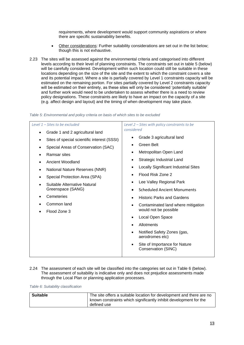requirements, where development would support community aspirations or where there are specific sustainability benefits.

- Other considerations: Further suitability considerations are set out in the list below; though this is not exhaustive.
- 2.23 The sites will be assessed against the environmental criteria and categorised into different levels according to their level of planning constraints. The constraints set out in table 5 (below) will be carefully considered. Development within such location could still be suitable in these locations depending on the size of the site and the extent to which the constraint covers a site and its potential impact. Where a site is partially covered by Level 1 constraints capacity will be estimated on the remaining portion. For sites partially covered by Level 2 constraints capacity will be estimated on their entirety, as these sites will only be considered 'potentially suitable' and further work would need to be undertaken to assess whether there is a need to review policy designations. These constraints are likely to have an impact on the capacity of a site (e.g. affect design and layout) and the timing of when development may take place.

| Table 5: Environmental and policy criteria on basis of which sites to be excluded |  |  |  |  |  |  |  |
|-----------------------------------------------------------------------------------|--|--|--|--|--|--|--|

| Level $1$ – Sites to be excluded                         | Level 2 - Sites with policy constraints to be                     |
|----------------------------------------------------------|-------------------------------------------------------------------|
| Grade 1 and 2 agricultural land<br>$\bullet$             | considered                                                        |
| Sites of special scientific interest (SSSI)<br>$\bullet$ | Grade 3 agricultural land<br>$\bullet$                            |
| Special Areas of Conservation (SAC)<br>$\bullet$         | Green Belt<br>$\bullet$                                           |
| Ramsar sites<br>$\bullet$                                | Metropolitan Open Land<br>$\bullet$                               |
| Ancient Woodland                                         | Strategic Industrial Land<br>$\bullet$                            |
| National Nature Reserves (NNR)<br>$\bullet$              | <b>Locally Significant Industrial Sites</b><br>$\bullet$          |
| Special Protection Area (SPA)<br>٠                       | Flood Risk Zone 2                                                 |
| Suitable Alternative Natural<br>$\bullet$                | Lee Valley Regional Park                                          |
| Greenspace (SANG)                                        | <b>Scheduled Ancient Monuments</b><br>$\bullet$                   |
| Cemeteries                                               | <b>Historic Parks and Gardens</b><br>$\bullet$                    |
| Common land                                              | Contaminated land where mitigation                                |
| Flood Zone 3<br>$\bullet$                                | would not be possible                                             |
|                                                          | Local Open Space<br>$\bullet$                                     |
|                                                          | Allotments                                                        |
|                                                          | Notified Safety Zones (gas,<br>$\bullet$<br>aerodromes etc)       |
|                                                          | Site of Importance for Nature<br>$\bullet$<br>Conservation (SINC) |

2.24 The assessment of each site will be classified into the categories set out in Table 6 (below). The assessment of suitability is indicative only and does not prejudice assessments made through the Local Plan or planning application processes.

*Table 6: Suitability classification*

| <b>Suitable</b> | The site offers a suitable location for development and there are no<br>known constraints which significantly inhibit development for the |
|-----------------|-------------------------------------------------------------------------------------------------------------------------------------------|
|                 | defined use                                                                                                                               |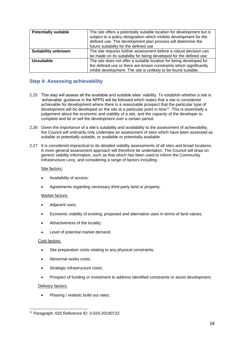| <b>Potentially suitable</b> | The site offers a potentially suitable location for development but is<br>subject to a policy designation which inhibits development for the<br>defined use. The development plan process will determine the<br>future suitability for the defined use |  |  |  |
|-----------------------------|--------------------------------------------------------------------------------------------------------------------------------------------------------------------------------------------------------------------------------------------------------|--|--|--|
| <b>Suitability unknown</b>  | The site requires further assessment before a robust decision can                                                                                                                                                                                      |  |  |  |
|                             | be made on its suitability for being developed for the defined use                                                                                                                                                                                     |  |  |  |
| Unsuitable                  | The site does not offer a suitable location for being developed for                                                                                                                                                                                    |  |  |  |
|                             | the defined use or there are known constraints which significantly                                                                                                                                                                                     |  |  |  |
|                             | inhibit development. The site is unlikely to be found suitable.                                                                                                                                                                                        |  |  |  |

#### <span id="page-13-0"></span>**Step 4: Assessing achievability**

- 2.25 This step will assess all the available and suitable sites' viability. To establish whether a site is 'achievable' guidance in the NPPG will be followed which states that a site is considered achievable for development where there is a reasonable prospect that the particular type of development will be developed on the site at a particular point in time<sup>11</sup>. This is essentially a judgement about the economic and viability of a site, and the capacity of the developer to complete and let or sell the development over a certain period.
- 2.26 Given the importance of a site's suitability and availability to the assessment of achievability, the Council will ordinarily only undertake an assessment of sites which have been assessed as suitable or potentially suitable, or available or potentially available.
- 2.27 It is considered impractical to do detailed viability assessments of all sites and broad locations. A more general assessment approach will therefore be undertaken. The Council will draw on generic viability information, such as that which has been used to inform the Community Infrastructure Levy, and considering a range of factors including-

#### Site factors:

- Availability of access;
- Agreements regarding necessary third-party land or property.

#### Market factors:

- Adjacent uses:
- Economic viability of existing, proposed and alternative uses in terms of land values;
- Attractiveness of the locality;
- Level of potential market demand.

#### Cost factors:

- Site preparation costs relating to any physical constraints;
- Abnormal works costs;
- Strategic infrastructure costs:
- Prospect of funding or investment to address identified constraints or assist development.

#### Delivery factors:

• Phasing / realistic build out rates;

<sup>11</sup> Paragraph: 020 Reference ID: 3-020-20190722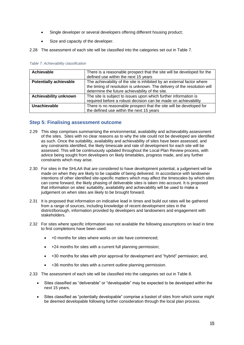- Single developer or several developers offering different housing product;
- Size and capacity of the developer.
- 2.28 The assessment of each site will be classified into the categories set out in Table 7.

| <b>Achievable</b>             | There is a reasonable prospect that the site will be developed for the   |
|-------------------------------|--------------------------------------------------------------------------|
|                               | defined use within the next 15 years                                     |
| <b>Potentially achievable</b> | The achievability of the site is inhibited by an external factor where   |
|                               | the timing of resolution is unknown. The delivery of the resolution will |
|                               | determine the future achievability of the site.                          |
| Achievability unknown         | The site is subject to issues upon which further information is          |
|                               | required before a robust decision can be made on achievability           |
| Unachievable                  | There is no reasonable prospect that the site will be developed for      |
|                               | the defined use within the next 15 years                                 |

*Table 7: Achievability classification*

#### <span id="page-14-0"></span>**Step 5: Finalising assessment outcome**

- 2.29 This step comprises summarising the environmental, availability and achievability assessment of the sites. Sites with no clear reasons as to why the site could not be developed are identified as such. Once the suitability, availability and achievability of sites have been assessed, and any constraints identified, the likely timescale and rate of development for each site will be assessed. This will be continuously updated throughout the Local Plan Review process, with advice being sought from developers on likely timetables, progress made, and any further constraints which may arise.
- 2.30 For sites in the SHLAA that are considered to have development potential, a judgement will be made on when they are likely to be capable of being delivered. In accordance with landowner intentions of other identified site-specific matters which may affect the timescales by which sites can come forward, the likely phasing of deliverable sites is taken into account. It is proposed that information on sites' suitability, availability and achievability will be used to make a judgement on when sites are likely to be brought forward.
- 2.31 It is proposed that information on indicative lead in times and build out rates will be gathered from a range of sources, including knowledge of recent development sites in the district/borough, information provided by developers and landowners and engagement with stakeholders.
- 2.32 For sites where specific information was not available the following assumptions on lead in time to first completions have been used:
	- +0 months for sites where works on site have commenced;
	- +24 months for sites with a current full planning permission;
	- +30 months for sites with prior approval for development and "hybrid" permission; and,
	- +36 months for sites with a current outline planning permission.
- 2.33 The assessment of each site will be classified into the categories set out in Table 8.
	- Sites classified as "deliverable" or "developable" may be expected to be developed within the next 15 years.
	- Sites classified as "potentially developable" comprise a basket of sites from which some might be deemed developable following further consideration through the local plan process.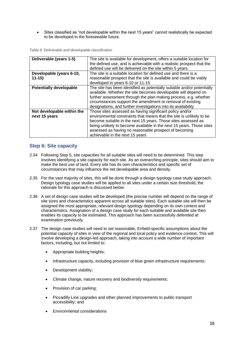• Sites classified as "not developable within the next 15 years" cannot realistically be expected to be developed in the foreseeable future.

|  |  | Table 8: Deliverable and developable classification |
|--|--|-----------------------------------------------------|
|  |  |                                                     |

| Deliverable (years 1-5)        | The site is available for development, offers a suitable location for   |
|--------------------------------|-------------------------------------------------------------------------|
|                                | the defined use, and is achievable with a realistic prospect that the   |
|                                | defined use will be delivered on the site within 5 years.               |
| Developable (years 6-10,       | The site is a suitable location for defined use and there is a          |
| $11-15$                        | reasonable prospect that the site is available and could be viably      |
|                                | developed in years 6-10 or 11-15                                        |
| <b>Potentially developable</b> | The site has been identified as potentially suitable and/or potentially |
|                                | available. Whether the site becomes developable will depend on          |
|                                | further assessment through the plan making process, e.g. whether        |
|                                | circumstances support the amendment or removal of existing              |
|                                | designations, and further investigations into its availability          |
| Not developable within the     | Those sites assessed as having significant policy and/or                |
| next 15 years                  | environmental constraints that means that the site is unlikely to be    |
|                                | become suitable in the next 15 years. Those sites assessed as           |
|                                | being unlikely to become available in the next 15 years. Those sites    |
|                                | assessed as having no reasonable prospect of becoming                   |
|                                | achievable in the next 15 years                                         |

#### <span id="page-15-0"></span>**Step 6: Site capacity**

- 2.34 Following Step 5, site capacities for all suitable sites will need to be determined. This step involves identifying a site capacity for each site. As an overarching principle, sites should aim to make the best use of land. Every site has its own characteristics and specific set of circumstances that may influence the net developable area and density.
- 2.35 For the vast majority of sites, this will be done through a design typology case study approach. Design typology case studies will be applied to all sites under a certain size threshold, the rationale for this approach is discussed below.
- 2.36 A set of design case studies will be developed (the precise number will depend on the range of site sizes and characteristics apparent across all suitable sites). Each suitable site will then be assigned the most appropriate, relevant design typology depending on its own context and characteristics. Assignation of a design case study for each suitable and available site then enables its capacity to be estimated. This approach has been successfully defended at examination previously.
- 2.37 The design case studies will need to set reasonable, Enfield-specific assumptions about the potential capacity of sites in view of the regional and local policy and evidence context. This will involve developing a design-led approach, taking into account a wide number of important factors, including, but not limited to:
	- Appropriate building heights;
	- Infrastructure capacity, including provision of blue green infrastructure requirements;
	- Development viability;
	- Climate change, nature recovery and biodiversity requirements;
	- Provision of car parking;
	- Piccadilly Line upgrades and other planned improvements to public transport accessibility; and
	- Environmental considerations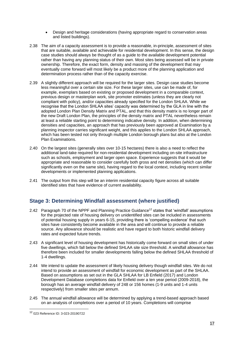- Design and heritage considerations (having appropriate regard to conservation areas and listed buildings).
- 2.38 The aim of a capacity assessment is to provide a reasonable, in-principle, assessment of sites that are suitable, available and achievable for residential development. In this sense, the design case studies should always be thought of as a guide to the available development potential rather than having any planning status of their own. Most sites being assessed will be in private ownership. Therefore, the exact form, density and massing of the development that may eventually come forward will most likely be a product more of the planning application and determination process rather than of the capacity exercise.
- 2.39 A slightly different approach will be required for the larger sites. Design case studies become less meaningful over a certain site size. For these larger sites, use can be made of, for example, exemplars based on existing or proposed development in a comparable context, previous design or masterplan work, site promoter estimates (unless they are clearly not compliant with policy), and/or capacities already specified for the London SHLAA. While we recognise that the London SHLAA sites' capacity was determined by the GLA in line with the adopted London Plan Density Matrix and PTAL, and that this density matrix is no longer part of the new Draft London Plan, the principles of the density matrix and PTAL nevertheless remain at least a reliable starting point to determining indicative density. In addition, when determining densities and capacities, an approach that has previously been approved at Examination by a planning inspector carries significant weight, and this applies to the London SHLAA approach, which has been tested not only through multiple London borough plans but also at the London Plan Examinations.
- 2.40 On the largest sites (generally sites over 10-15 hectares) there is also a need to reflect the additional land-take required for non-residential development including on-site infrastructure such as schools, employment and larger open space. Experience suggests that it would be appropriate and reasonable to consider carefully both gross and net densities (which can differ significantly even on the same site), having regard to the local context, including recent similar developments or implemented planning applications.
- 2.41 The output from this step will be an interim residential capacity figure across all suitable identified sites that have evidence of current availability.

#### <span id="page-16-0"></span>**Stage 3: Determining Windfall assessment (where justified)**

- 2.42 Paragraph 70 of the NPPF and Planning Practice Guidance<sup>12</sup> states that 'windfall' assumptions for the projected rate of housing delivery on unidentified sites can be included in assessments of potential housing supply in years 6-15, providing there is 'compelling evidence' that such sites have consistently become available in the area and will continue to provide a reliable source. Any allowance should be realistic and have regard to both historic windfall delivery rates and expected future trends.
- 2.43 A significant level of housing development has historically come forward on small sites of under five dwellings, which fall below the defined SHLAA site size threshold. A windfall allowance has therefore been included for smaller developments falling below the defined SHLAA threshold of 1-4 dwellings.
- 2.44 We intend to update the assessment of likely housing delivery though windfall sites. We do not intend to provide an assessment of windfall for economic development as part of the SHLAA. Based on assumptions as set out in the GLA SHLAA for LB Enfield (2017) and London Development Database completions data for Enfield over a ten year period (2009-2018), the borough has an average windfall delivery of 248 or 156 homes (1-9 units and 1-4 units respectively) from smaller sites per annum.
- 2.45 The annual windfall allowance will be determined by applying a trend-based approach based on an analysis of completions over a period of 10 years. Completions will comprise

<sup>12</sup> 023 Reference ID: 3-023-20190722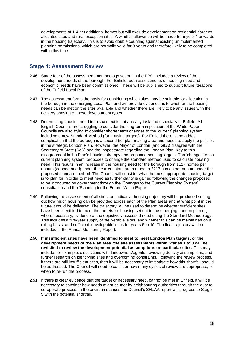developments of 1-4 net additional homes but will exclude development on residential gardens, allocated sites and rural exception sites. A windfall allowance will be made from year 4 onwards in the housing trajectory. This is to avoid double counting against existing unimplemented planning permissions, which are normally valid for 3 years and therefore likely to be completed within this time.

#### <span id="page-17-0"></span>**Stage 4: Assessment Review**

- 2.46 Stage four of the assessment methodology set out in the PPG includes a review of the development needs of the borough. For Enfield, both assessments of housing need and economic needs have been commissioned. These will be published to support future iterations of the Enfield Local Plan.
- 2.47 The assessment forms the basis for considering which sites may be suitable for allocation in the borough in the emerging Local Plan and will provide evidence as to whether the housing needs can be met on the sites available and whether there are likely to be any issues with the delivery phasing of these development types.
- 2.48 Determining housing need in this context is not an easy task and especially in Enfield. All English Councils are struggling to consider the long-term implication of the White Paper. Councils are also trying to consider shorter term changes to the 'current' planning system including a new Standard Method (for housing targets). For Enfield there is the added complication that the borough is a second-tier plan making area and needs to apply the policies in the strategic London Plan. However, the Mayor of London (and GLA) disagree with the Secretary of State (SoS) and the Inspectorate regarding the London Plan. Key to this disagreement is the Plan's housing strategy and proposed housing targets. The 'changes to the current planning system' proposes to change the standard method used to calculate housing need. This results in an increase in the housing need for the borough from 1117 homes per annum (capped need) under the current standard method to 2213 homes per annum under the proposed standard method. The Council will consider what the most appropriate housing target is to plan for in order to meet need as further clarity is gained following the changes proposed to be introduced by government through the 'Changes to the Current Planning System' consultation and the 'Planning for the Future' White Paper.
- 2.49 Following the assessment of all sites, an indicative housing trajectory will be produced setting out how much housing can be provided across each of the Plan areas and at what point in the future it could be delivered. The trajectory will be used to determine whether sufficient sites have been identified to meet the targets for housing set out in the emerging London plan or, where necessary, evidence of the objectively assessed need using the Standard Methodology. This includes a five-year supply of 'deliverable' sites, and whether this can be maintained on a rolling basis, and sufficient 'developable' sites for years 6 to 15. The final trajectory will be included in the Annual Monitoring Report.
- 2.50 **If insufficient sites have been identified to meet to meet London Plan targets, or the development needs of the Plan area, the site assessments within Stages 1 to 3 will be revisited to review the development potential assumptions on particular sites**. This may include, for example, discussions with landowners/agents, reviewing density assumptions, and further research on identifying sites and overcoming constraints. Following the review process, if there are still insufficient sites, then it will be necessary to investigate how this shortfall should be addressed. The Council will need to consider how many cycles of review are appropriate, or when to re-run the process.
- 2.51 If there is clear evidence that the target or necessary need, cannot be met in Enfield, it will be necessary to consider how needs might be met by neighbouring authorities through the duty to co-operate process. In these circumstances the Council's SHLAA report will progress to Stage 5 with the potential shortfall.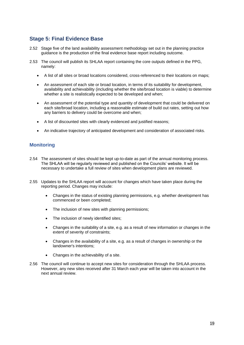#### <span id="page-18-0"></span>**Stage 5: Final Evidence Base**

- 2.52 Stage five of the land availability assessment methodology set out in the planning practice guidance is the production of the final evidence base report including outcome.
- 2.53 The council will publish its SHLAA report containing the core outputs defined in the PPG, namely:
	- A list of all sites or broad locations considered, cross-referenced to their locations on maps;
	- An assessment of each site or broad location, in terms of its suitability for development, availability and achievability (including whether the site/broad location is viable) to determine whether a site is realistically expected to be developed and when;
	- An assessment of the potential type and quantity of development that could be delivered on each site/broad location, including a reasonable estimate of build out rates, setting out how any barriers to delivery could be overcome and when;
	- A list of discounted sites with clearly evidenced and justified reasons;
	- An indicative trajectory of anticipated development and consideration of associated risks.

#### **Monitoring**

- 2.54 The assessment of sites should be kept up-to-date as part of the annual monitoring process. The SHLAA will be regularly reviewed and published on the Councils' website. It will be necessary to undertake a full review of sites when development plans are reviewed.
- 2.55 Updates to the SHLAA report will account for changes which have taken place during the reporting period. Changes may include:
	- Changes in the status of existing planning permissions, e.g. whether development has commenced or been completed;
	- The inclusion of new sites with planning permissions;
	- The inclusion of newly identified sites;
	- Changes in the suitability of a site, e.g. as a result of new information or changes in the extent of severity of constraints;
	- Changes in the availability of a site, e.g. as a result of changes in ownership or the landowner's intentions;
	- Changes in the achievability of a site.
- 2.56 The council will continue to accept new sites for consideration through the SHLAA process. However, any new sites received after 31 March each year will be taken into account in the next annual review.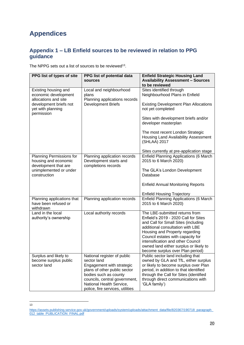## **Appendices**

13

#### **Appendix 1 – LB Enfield sources to be reviewed in relation to PPG guidance**

The NPPG sets out a list of sources to be reviewed<sup>13</sup>.

| PPG list of types of site                                                | PPG list of potential data<br>sources                                                                                                                                                                                             | <b>Enfield Strategic Housing Land</b><br><b>Availability Assessment - Sources</b><br>to be reviewed                                                                                                                                                                                                                                         |
|--------------------------------------------------------------------------|-----------------------------------------------------------------------------------------------------------------------------------------------------------------------------------------------------------------------------------|---------------------------------------------------------------------------------------------------------------------------------------------------------------------------------------------------------------------------------------------------------------------------------------------------------------------------------------------|
| Existing housing and<br>economic development<br>allocations and site     | Local and neighbourhood<br>plans<br>Planning applications records                                                                                                                                                                 | Sites identified through<br>Neighbourhood Plans in Enfield                                                                                                                                                                                                                                                                                  |
| development briefs not<br>yet with planning<br>permission                | <b>Development Briefs</b>                                                                                                                                                                                                         | <b>Existing Development Plan Allocations</b><br>not yet completed                                                                                                                                                                                                                                                                           |
|                                                                          |                                                                                                                                                                                                                                   | Sites with development briefs and/or<br>developer masterplan                                                                                                                                                                                                                                                                                |
|                                                                          |                                                                                                                                                                                                                                   | The most recent London Strategic<br>Housing Land Availability Assessment<br>(SHLAA) 2017                                                                                                                                                                                                                                                    |
|                                                                          |                                                                                                                                                                                                                                   | Sites currently at pre-application stage                                                                                                                                                                                                                                                                                                    |
| Planning Permissions for<br>housing and economic<br>development that are | Planning application records<br>Development starts and<br>completions records                                                                                                                                                     | Enfield Planning Applications (6 March<br>2015 to 6 March 2020)                                                                                                                                                                                                                                                                             |
| unimplemented or under<br>construction                                   |                                                                                                                                                                                                                                   | The GLA's London Development<br>Database                                                                                                                                                                                                                                                                                                    |
|                                                                          |                                                                                                                                                                                                                                   | <b>Enfield Annual Monitoring Reports</b>                                                                                                                                                                                                                                                                                                    |
|                                                                          |                                                                                                                                                                                                                                   | <b>Enfield Housing Trajectory</b>                                                                                                                                                                                                                                                                                                           |
| Planning applications that<br>have been refused or<br>withdrawn          | Planning application records                                                                                                                                                                                                      | Enfield Planning Applications (6 March<br>2015 to 6 March 2020)                                                                                                                                                                                                                                                                             |
| Land in the local<br>authority's ownership                               | Local authority records                                                                                                                                                                                                           | The LBE-submitted returns from<br>Enfield's 2019 - 2020 Call for Sites<br>and Call for Small Sites (including<br>additional consultation with LBE<br>Housing and Property regarding<br>Council estates with capacity for<br>intensification and other Council<br>owned land either surplus or likely to<br>become surplus over Plan period) |
| Surplus and likely to<br>become surplus public<br>sector land            | National register of public<br>sector land<br>Engagement with strategic<br>plans of other public sector<br>bodies such as county<br>councils, central government,<br>National Health Service,<br>police, fire services, utilities | Public sector land including that<br>owned by GLA and TfL, either surplus<br>or likely to become surplus over Plan<br>period, in addition to that identified<br>through the Call for Sites (identified<br>through direct communications with<br>'GLA family')                                                                               |

[https://assets.publishing.service.gov.uk/government/uploads/system/uploads/attachment\\_data/file/820367/190718\\_paragraph\\_](https://assets.publishing.service.gov.uk/government/uploads/system/uploads/attachment_data/file/820367/190718_paragraph_012_table_PUBLICATION_FINAL.pdf) [012\\_table\\_PUBLICATION\\_FINAL.pdf](https://assets.publishing.service.gov.uk/government/uploads/system/uploads/attachment_data/file/820367/190718_paragraph_012_table_PUBLICATION_FINAL.pdf)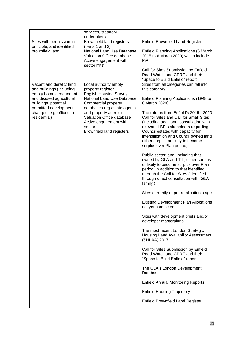|                                                                                                                                                                                                         | services, statutory<br>undertakers                                                                                                                                                                                                                                                                  |                                                                                                                                                                                                                                                                                                                       |
|---------------------------------------------------------------------------------------------------------------------------------------------------------------------------------------------------------|-----------------------------------------------------------------------------------------------------------------------------------------------------------------------------------------------------------------------------------------------------------------------------------------------------|-----------------------------------------------------------------------------------------------------------------------------------------------------------------------------------------------------------------------------------------------------------------------------------------------------------------------|
| Sites with permission in<br>principle, and identified                                                                                                                                                   | <b>Brownfield land registers</b><br>(parts 1 and 2)                                                                                                                                                                                                                                                 | <b>Enfield Brownfield Land Register</b>                                                                                                                                                                                                                                                                               |
| brownfield land                                                                                                                                                                                         | National Land Use Database<br>Valuation Office database<br>Active engagement with<br>sector [TR1]                                                                                                                                                                                                   | Enfield Planning Applications (6 March<br>2015 to 6 March 2020) which include<br>PiP                                                                                                                                                                                                                                  |
|                                                                                                                                                                                                         |                                                                                                                                                                                                                                                                                                     | Call for Sites Submission by Enfield<br>Road Watch and CPRE and their<br>"Space to Build Enfield" report                                                                                                                                                                                                              |
| Vacant and derelict land<br>and buildings (including<br>empty homes, redundant<br>and disused agricultural<br>buildings, potential<br>permitted development<br>changes, e.g. offices to<br>residential) | Local authority empty<br>property register<br><b>English Housing Survey</b><br><b>National Land Use Database</b><br>Commercial property<br>databases (eg estate agents<br>and property agents)<br>Valuation Office database<br>Active engagement with<br>sector<br><b>Brownfield land registers</b> | Sites from all categories can fall into<br>this category:                                                                                                                                                                                                                                                             |
|                                                                                                                                                                                                         |                                                                                                                                                                                                                                                                                                     | Enfield Planning Applications (1948 to<br>6 March 2020)                                                                                                                                                                                                                                                               |
|                                                                                                                                                                                                         |                                                                                                                                                                                                                                                                                                     | The returns from Enfield's 2019 - 2020<br>Call for Sites and Call for Small Sites<br>(including additional consultation with<br>relevant LBE stakeholders regarding<br>Council estates with capacity for<br>intensification and Council owned land<br>either surplus or likely to become<br>surplus over Plan period) |
|                                                                                                                                                                                                         |                                                                                                                                                                                                                                                                                                     | Public sector land, including that<br>owned by GLA and TfL, either surplus<br>or likely to become surplus over Plan<br>period, in addition to that identified<br>through the Call for Sites (identified<br>through direct consultation with 'GLA<br>family')                                                          |
|                                                                                                                                                                                                         |                                                                                                                                                                                                                                                                                                     | Sites currently at pre-application stage                                                                                                                                                                                                                                                                              |
|                                                                                                                                                                                                         |                                                                                                                                                                                                                                                                                                     | <b>Existing Development Plan Allocations</b><br>not yet completed                                                                                                                                                                                                                                                     |
|                                                                                                                                                                                                         |                                                                                                                                                                                                                                                                                                     | Sites with development briefs and/or<br>developer masterplans                                                                                                                                                                                                                                                         |
|                                                                                                                                                                                                         |                                                                                                                                                                                                                                                                                                     | The most recent London Strategic<br>Housing Land Availability Assessment<br>(SHLAA) 2017                                                                                                                                                                                                                              |
|                                                                                                                                                                                                         |                                                                                                                                                                                                                                                                                                     | Call for Sites Submission by Enfield<br>Road Watch and CPRE and their<br>"Space to Build Enfield" report                                                                                                                                                                                                              |
|                                                                                                                                                                                                         |                                                                                                                                                                                                                                                                                                     | The GLA's London Development<br>Database                                                                                                                                                                                                                                                                              |
|                                                                                                                                                                                                         |                                                                                                                                                                                                                                                                                                     | <b>Enfield Annual Monitoring Reports</b>                                                                                                                                                                                                                                                                              |
|                                                                                                                                                                                                         |                                                                                                                                                                                                                                                                                                     | <b>Enfield Housing Trajectory</b>                                                                                                                                                                                                                                                                                     |
|                                                                                                                                                                                                         |                                                                                                                                                                                                                                                                                                     | <b>Enfield Brownfield Land Register</b>                                                                                                                                                                                                                                                                               |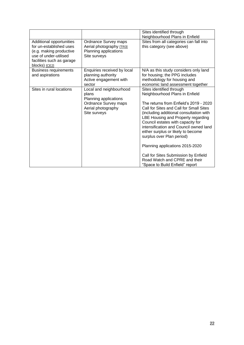|                                                                                                                                                       |                                                                                                                         | Sites identified through<br>Neighbourhood Plans in Enfield                                                                                                                                                                                                                                                                                                                                                                                                                                                                        |
|-------------------------------------------------------------------------------------------------------------------------------------------------------|-------------------------------------------------------------------------------------------------------------------------|-----------------------------------------------------------------------------------------------------------------------------------------------------------------------------------------------------------------------------------------------------------------------------------------------------------------------------------------------------------------------------------------------------------------------------------------------------------------------------------------------------------------------------------|
| Additional opportunities<br>for un-established uses<br>(e.g. making productive<br>use of under-utilised<br>facilities such as garage<br>blocks) [CE2] | Ordnance Survey maps<br>Aerial photography [TR3]<br>Planning applications<br>Site surveys                               | Sites from all categories can fall into<br>this category (see above)                                                                                                                                                                                                                                                                                                                                                                                                                                                              |
| <b>Business requirements</b><br>and aspirations                                                                                                       | Enquiries received by local<br>planning authority<br>Active engagement with<br>sector                                   | N/A as this study considers only land<br>for housing; the PPG includes<br>methodology for housing and<br>economic land assessment together                                                                                                                                                                                                                                                                                                                                                                                        |
| Sites in rural locations                                                                                                                              | Local and neighbourhood<br>plans<br>Planning applications<br>Ordnance Survey maps<br>Aerial photography<br>Site surveys | Sites identified through<br>Neighbourhood Plans in Enfield<br>The returns from Enfield's 2019 - 2020<br>Call for Sites and Call for Small Sites<br>(including additional consultation with<br>LBE Housing and Property regarding<br>Council estates with capacity for<br>intensification and Council owned land<br>either surplus or likely to become<br>surplus over Plan period)<br>Planning applications 2015-2020<br>Call for Sites Submission by Enfield<br>Road Watch and CPRE and their<br>"Space to Build Enfield" report |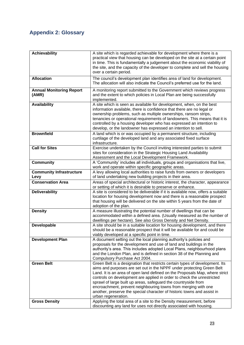## **Appendix 2: Glossary**

| <b>Achievability</b>                      | A site which is regarded achievable for development where there is a<br>practical view that housing can be developed on the site at a certain point<br>in time. This is fundamentally a judgement about the economic viability of<br>the site, and the capacity of the developer to complete and sell the housing<br>over a certain period.                                                                                                                                                                                                                                                                                  |
|-------------------------------------------|------------------------------------------------------------------------------------------------------------------------------------------------------------------------------------------------------------------------------------------------------------------------------------------------------------------------------------------------------------------------------------------------------------------------------------------------------------------------------------------------------------------------------------------------------------------------------------------------------------------------------|
| <b>Allocation</b>                         | The council's development plan identifies area of land for development.<br>The allocation will also indicate the Council's preferred use for the land.                                                                                                                                                                                                                                                                                                                                                                                                                                                                       |
| <b>Annual Monitoring Report</b><br>(AMR)  | A monitoring report submitted to the Government which reviews progress<br>and the extent to which policies in Local Plan are being successfully<br>implemented.                                                                                                                                                                                                                                                                                                                                                                                                                                                              |
| <b>Availability</b>                       | A site which is seen as available for development, when, on the best<br>information available, there is confidence that there are no legal or<br>ownership problems, such as multiple ownerships, ransom strips,<br>tenancies or operational requirements of landowners. This means that it is<br>controlled by a housing developer who has expressed an intention to<br>develop, or the landowner has expressed an intention to sell.                                                                                                                                                                                       |
| <b>Brownfield</b>                         | A land which is or was occupied by a permanent structure, including<br>curtilage of the developed land and any associated fixed surface<br>infrastructure.                                                                                                                                                                                                                                                                                                                                                                                                                                                                   |
| <b>Call for Sites</b>                     | Exercise undertaken by the Council inviting interested parties to submit<br>sites for consideration in the Strategic Housing Land Availability<br>Assessment and the Local Development Framework.                                                                                                                                                                                                                                                                                                                                                                                                                            |
| <b>Community</b>                          | A 'Community' includes all individuals, groups and organisations that live,<br>work and operate within specific geographic areas.                                                                                                                                                                                                                                                                                                                                                                                                                                                                                            |
| <b>Community Infrastructure</b><br>Levy   | A levy allowing local authorities to raise funds from owners or developers<br>of land undertaking new building projects in their area.                                                                                                                                                                                                                                                                                                                                                                                                                                                                                       |
| <b>Conservation Area</b>                  | Areas of special architectural or historic interest, the character, appearance<br>or setting of which it is desirable to preserve or enhance.                                                                                                                                                                                                                                                                                                                                                                                                                                                                                |
| <b>Deliverability</b>                     | A site is considered to be deliverable if it is available now, offers a suitable<br>location for housing development now and there is a reasonable prospect<br>that housing will be delivered on the site within 5 years from the date of<br>adoption of the plan.                                                                                                                                                                                                                                                                                                                                                           |
| <b>Density</b>                            | A measure illustrating the potential number of dwellings that can be<br>accommodated within a defined area. (Usually measured as the number of<br>dwellings per hectare). See also Gross Density and Net Density.                                                                                                                                                                                                                                                                                                                                                                                                            |
| Developable                               | A site should be in a suitable location for housing development, and there<br>should be a reasonable prospect that it will be available for and could be<br>viably developed at a specific point in time.                                                                                                                                                                                                                                                                                                                                                                                                                    |
| <b>Development Plan</b>                   | A document setting out the local planning authority's policies and<br>proposals for the development and use of land and buildings in the<br>authority's area. This includes adopted Local Plans, neighbourhood plans<br>and the London Plan, and is defined in section 38 of the Planning and<br>Compulsory Purchase Act 2004.                                                                                                                                                                                                                                                                                               |
| <b>Green Belt</b><br><b>Gross Density</b> | Green Belt is a designation that restricts certain types of development. Its<br>aims and purposes are set out in the NPPF under protecting Green Belt<br>Land. It is an area of open land defined on the Proposals Map, where strict<br>controls on development are applied in order to check the unrestricted<br>sprawl of large built up areas, safeguard the countryside from<br>encroachment, prevent neighbouring towns from merging with one<br>another, preserve the special character of historic towns and assist in<br>urban regeneration.<br>Applying the total area of a site to the Density measurement, before |
|                                           | discounting any land for uses not directly associated with housing.                                                                                                                                                                                                                                                                                                                                                                                                                                                                                                                                                          |